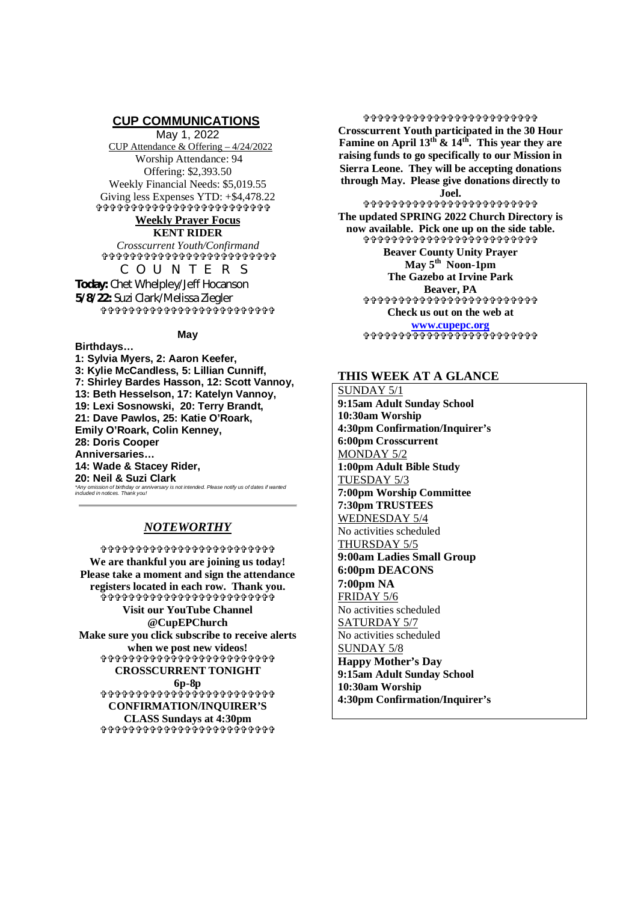## **CUP COMMUNICATIONS**

May 1, 2022 CUP Attendance & Offering – 4/24/2022 Worship Attendance: 94 Offering: \$2,393.50 Weekly Financial Needs: \$5,019.55 Giving less Expenses YTD: +\$4,478.22

 **Weekly Prayer Focus**

**KENT RIDER** *Crosscurrent Youth/Confirmand* **ቀቀቀቀቀቀቀቀቀቀቀቀቀቀ**ቀቀቀቀቀቀቀቀ COUNTERS

**Today:** Chet Whelpley/Jeff Hocanson **5/8/22:** Suzi Clark/Melissa Ziegler 

## **May**

**Birthdays… 1: Sylvia Myers, 2: Aaron Keefer, 3: Kylie McCandless, 5: Lillian Cunniff, 7: Shirley Bardes Hasson, 12: Scott Vannoy, 13: Beth Hesselson, 17: Katelyn Vannoy, 19: Lexi Sosnowski, 20: Terry Brandt, 21: Dave Pawlos, 25: Katie O'Roark, Emily O'Roark, Colin Kenney, 28: Doris Cooper Anniversaries… 14: Wade & Stacey Rider, 20: Neil & Suzi Clark** *\*Any omission of birthday or anniversary is not intended. Please notify us of dates if wanted included in notices. Thank you!*

# *NOTEWORTHY*

**\$\$\$\$\$\$\$\$\$\$\$\$\$\$\$\$\$\$\$\$\$\$\$\$ We are thankful you are joining us today! Please take a moment and sign the attendance registers located in each row. Thank you.** ኇ<br>ቕቕቕቕቕቕቕቕቕቕቕቕቕቕቕቕቕቕቕ<u>ቕቕቕቕቕቕ</u>፞ **Visit our YouTube Channel @CupEPChurch Make sure you click subscribe to receive alerts when we post new videos! CROSSCURRENT TONIGHT 6p-8p ቀቀቀቀቀቀቀቀቀቀ**ቀቀቀቀቀቀቀቀቀቀቀ **CONFIRMATION/INQUIRER'S CLASS Sundays at 4:30pm ቀቀቀቀቀቀቀቀቀቀቀቀቀቀቀቀቀ**ቀቀቀቀ

\$\$\$\$\$\$\$\$\$\$\$\$\$\$\$\$\$\$\$\$\$\$\$\$\$ **Crosscurrent Youth participated in the 30 Hour Famine on April 13th & 14th. This year they are raising funds to go specifically to our Mission in Sierra Leone. They will be accepting donations through May. Please give donations directly to Joel. ቀቀቀቀቀቀቀቀቀቀቀቀቀቀቀቀቀ**ቀቀቀቀቀ **The updated SPRING 2022 Church Directory is now available. Pick one up on the side table. Beaver County Unity Prayer May 5th Noon-1pm The Gazebo at Irvine Park Beaver, PA \$\$\$\$\$\$\$\$\$\$\$\$\$\$\$\$\$\$\$\$\$\$\$\$\$** 

> **Check us out on the web at www.cupepc.org** \$\$\$\$\$\$\$\$\$\$\$\$\$\$\$\$\$\$\$\$\$\$\$

### **THIS WEEK AT A GLANCE**

SUNDAY 5/1 **9:15am Adult Sunday School 10:30am Worship 4:30pm Confirmation/Inquirer's 6:00pm Crosscurrent** MONDAY 5/2 **1:00pm Adult Bible Study** TUESDAY 5/3 **7:00pm Worship Committee 7:30pm TRUSTEES** WEDNESDAY 5/4 No activities scheduled THURSDAY 5/5 **9:00am Ladies Small Group 6:00pm DEACONS 7:00pm NA** FRIDAY 5/6 No activities scheduled SATURDAY 5/7 No activities scheduled SUNDAY 5/8 **Happy Mother's Day 9:15am Adult Sunday School 10:30am Worship 4:30pm Confirmation/Inquirer's**